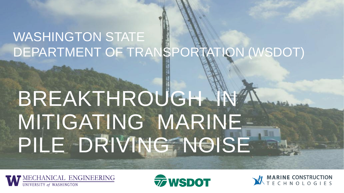### WASHINGTON STATE DEPARTMENT OF TRANSPORTATION (WSDOT)

## BREAKTHROUGH IN MITIGATING MARINE PILE DRIVING NOISE





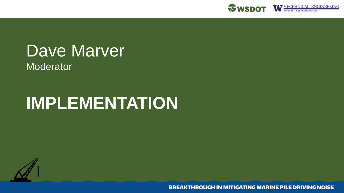

## Dave Marver

Moderator<sup>'</sup>

## **IMPLEMENTATION**

**BREAKTHROUGH IN MITIGATING MARINE PILE DRIVING NOISE**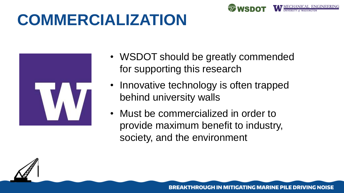## **COMMERCIALIZATION**



- WSDOT should be greatly commended for supporting this research
- Innovative technology is often trapped behind university walls
- Must be commercialized in order to provide maximum benefit to industry, society, and the environment

BREAKTHROUGH IN MITIGATING MARINE PILE DRIVING NOISE

**ZWSDOT**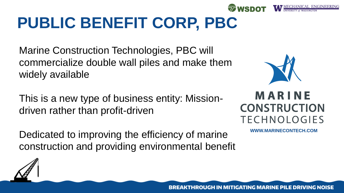## **PUBLIC BENEFIT CORP, PBC**

Marine Construction Technologies, PBC will commercialize double wall piles and make them widely available

This is a new type of business entity: Missiondriven rather than profit-driven

Dedicated to improving the efficiency of marine construction and providing environmental benefit



**WWW.MARINECONTECH.COM**

**BREAKTHROUGH IN MITIGATING MARINE PILE DRIVING NOISE** 

**EQUALM**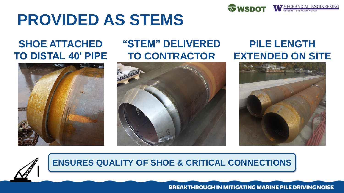

## **PROVIDED AS STEMS**

#### **SHOE ATTACHED TO DISTAL 40' PIPE**



#### **"STEM" DELIVERED TO CONTRACTOR**



#### **PILE LENGTH EXTENDED ON SITE**





#### **ENSURES QUALITY OF SHOE & CRITICAL CONNECTIONS**

**BREAKTHROUGH IN MITIGATING MARINE PILE DRIVING NOISE**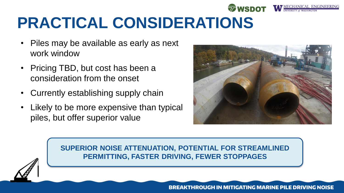## **PRACTICAL CONSIDERATIONS**

- Piles may be available as early as next work window
- Pricing TBD, but cost has been a consideration from the onset
- Currently establishing supply chain
- Likely to be more expensive than typical piles, but offer superior value



WSDOT WECHANICAL ENGINEERING



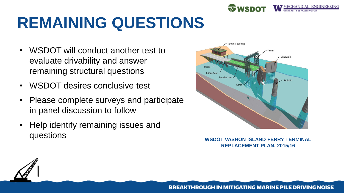

## **REMAINING QUESTIONS**

- WSDOT will conduct another test to evaluate drivability and answer remaining structural questions
- WSDOT desires conclusive test
- Please complete surveys and participate in panel discussion to follow
- Help identify remaining issues and questions **WSDOT VASHON ISLAND FERRY TERMINAL**



**REPLACEMENT PLAN, 2015/16**

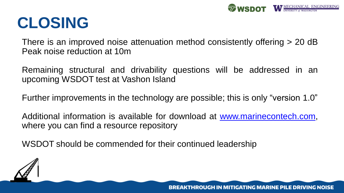

## **CLOSING**

There is an improved noise attenuation method consistently offering > 20 dB Peak noise reduction at 10m

Remaining structural and drivability questions will be addressed in an upcoming WSDOT test at Vashon Island

Further improvements in the technology are possible; this is only "version 1.0"

Additional information is available for download at [www.marinecontech.com,](http://www.marinecontech.com) where you can find a resource repository

WSDOT should be commended for their continued leadership